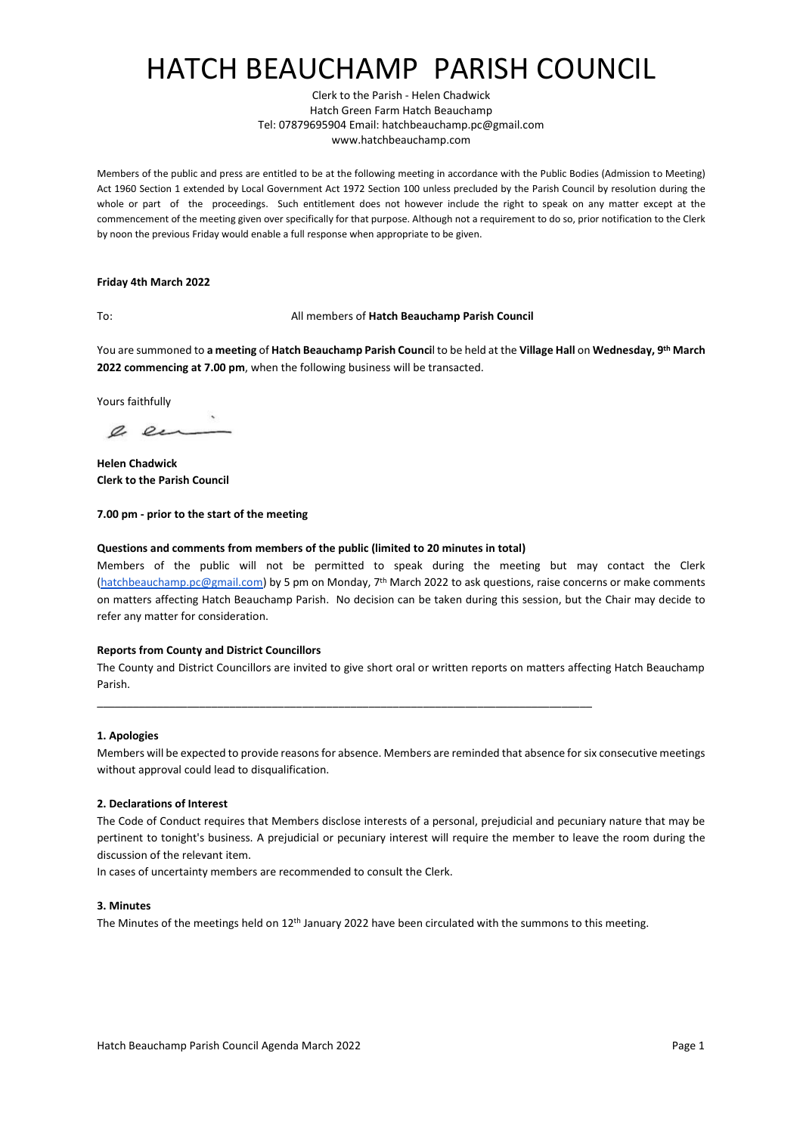# HATCH BEAUCHAMP PARISH COUNCIL

Clerk to the Parish - Helen Chadwick Hatch Green Farm Hatch Beauchamp Tel: 07879695904 Email: hatchbeauchamp.pc@gmail.com www.hatchbeauchamp.com

Members of the public and press are entitled to be at the following meeting in accordance with the Public Bodies (Admission to Meeting) Act 1960 Section 1 extended by Local Government Act 1972 Section 100 unless precluded by the Parish Council by resolution during the whole or part of the proceedings. Such entitlement does not however include the right to speak on any matter except at the commencement of the meeting given over specifically for that purpose. Although not a requirement to do so, prior notification to the Clerk by noon the previous Friday would enable a full response when appropriate to be given.

### **Friday 4th March 2022**

## To: All members of **Hatch Beauchamp Parish Council**

You are summoned to **a meeting** of **Hatch Beauchamp Parish Counci**l to be held a[t the](http://zoom.us/) **Village Hall** on **Wednesday, 9 th March 2022 commencing at 7.00 pm**, when the following business will be transacted.

Yours faithfully

a en

**Helen Chadwick Clerk to the Parish Council**

## **7.00 pm - prior to the start of the meeting**

## **Questions and comments from members of the public (limited to 20 minutes in total)**

Members of the public will not be permitted to speak during the meeting but may contact the Clerk [\(hatchbeauchamp.pc@gmail.com\)](mailto:hatchbeauchamp.pc@gmail.com) by 5 pm on Monday, 7<sup>th</sup> March 2022 to ask questions, raise concerns or make comments on matters affecting Hatch Beauchamp Parish. No decision can be taken during this session, but the Chair may decide to refer any matter for consideration.

### **Reports from County and District Councillors**

The County and District Councillors are invited to give short oral or written reports on matters affecting Hatch Beauchamp Parish.

\_\_\_\_\_\_\_\_\_\_\_\_\_\_\_\_\_\_\_\_\_\_\_\_\_\_\_\_\_\_\_\_\_\_\_\_\_\_\_\_\_\_\_\_\_\_\_\_\_\_\_\_\_\_\_\_\_\_\_\_\_\_\_\_\_\_\_\_\_\_\_\_\_\_\_\_\_\_\_\_\_\_

### **1. Apologies**

Members will be expected to provide reasons for absence. Members are reminded that absence for six consecutive meetings without approval could lead to disqualification.

## **2. Declarations of Interest**

The Code of Conduct requires that Members disclose interests of a personal, prejudicial and pecuniary nature that may be pertinent to tonight's business. A prejudicial or pecuniary interest will require the member to leave the room during the discussion of the relevant item.

In cases of uncertainty members are recommended to consult the Clerk.

### **3. Minutes**

The Minutes of the meetings held on  $12<sup>th</sup>$  January 2022 have been circulated with the summons to this meeting.